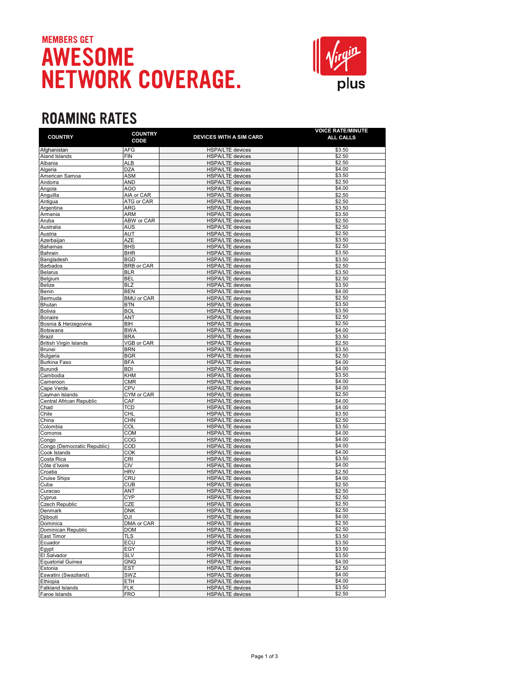## MEMBERS GET AWESOME NETWORK COVERAGE.



## **ROAMING RATES**

| <b>COUNTRY</b>                   | <b>COUNTRY</b><br>CODE   | <b>DEVICES WITH A SIM CARD</b>                     | <b>VOICE RATE/MINUTE</b><br>ALL CALLS |
|----------------------------------|--------------------------|----------------------------------------------------|---------------------------------------|
| Afghanistan                      | <b>AFG</b>               | <b>HSPA/LTE</b> devices                            | \$3.50                                |
| Aland Islands                    | <b>FIN</b>               | <b>HSPA/LTE devices</b>                            | \$2.50                                |
| Albania                          | ALB                      | <b>HSPA/LTE devices</b>                            | \$2.50                                |
| Algeria                          | <b>DZA</b>               | <b>HSPA/LTE</b> devices                            | \$4.00                                |
| American Samoa                   | ASM                      | <b>HSPA/LTE</b> devices                            | \$3.50                                |
| Andorra                          | AND                      | <b>HSPA/LTE devices</b>                            | \$2.50                                |
| Angola                           | AGO                      | <b>HSPA/LTE</b> devices                            | \$4.00                                |
| Anguilla                         | AIA or CAR               | <b>HSPA/LTE devices</b>                            | \$2.50<br>\$2.50                      |
| Antigua<br>Argentina             | ATG or CAR<br><b>ARG</b> | <b>HSPA/LTE devices</b><br><b>HSPA/LTE</b> devices | \$3.50                                |
| Armenia                          | <b>ARM</b>               | <b>HSPA/LTE</b> devices                            | \$3.50                                |
| Aruba                            | ABW or CAR               | <b>HSPA/LTE devices</b>                            | \$2.50                                |
| Australia                        | AUS                      | <b>HSPA/LTE</b> devices                            | \$2.50                                |
| Austria                          | AUT                      | <b>HSPA/LTE devices</b>                            | \$2.50                                |
| Azerbaijan                       | AZE                      | <b>HSPA/LTE devices</b>                            | \$3.50                                |
| Bahamas                          | <b>BHS</b>               | <b>HSPA/LTE devices</b>                            | \$2.50                                |
| <b>Bahrain</b>                   | <b>BHR</b>               | <b>HSPA/LTE</b> devices                            | \$3.50                                |
| Bangladesh                       | <b>BGD</b>               | <b>HSPA/LTE devices</b>                            | \$3.50                                |
| <b>Barbados</b>                  | BRB or CAR               | HSPA/LTE devices                                   | \$2.50                                |
| <b>Belarus</b>                   | <b>BLR</b>               | <b>HSPA/LTE devices</b>                            | \$3.50                                |
| Belgium                          | <b>BEL</b>               | <b>HSPA/LTE</b> devices                            | \$2.50                                |
| <b>Belize</b>                    | <b>BLZ</b>               | <b>HSPA/LTE devices</b>                            | \$3.50                                |
| Benin                            | <b>BEN</b>               | <b>HSPA/LTE</b> devices                            | \$4.00                                |
| Bermuda<br><b>Bhutan</b>         | <b>BMU or CAR</b>        | <b>HSPA/LTE devices</b>                            | \$2.50<br>\$3.50                      |
| Bolivia                          | <b>BTN</b><br><b>BOL</b> | <b>HSPA/LTE</b> devices<br><b>HSPA/LTE devices</b> | \$3.50                                |
| <b>Bonaire</b>                   | ANT                      | <b>HSPA/LTE devices</b>                            | \$2.50                                |
| Bosnia & Herzegovina             | BIH                      | <b>HSPA/LTE</b> devices                            | \$2.50                                |
| Botswana                         | <b>BWA</b>               | <b>HSPA/LTE</b> devices                            | \$4.00                                |
| Brazil                           | <b>BRA</b>               | <b>HSPA/LTE devices</b>                            | \$3.50                                |
| <b>British Virgin Islands</b>    | VGB or CAR               | <b>HSPA/LTE</b> devices                            | \$2.50                                |
| <b>Brunei</b>                    | <b>BRN</b>               | <b>HSPA/LTE</b> devices                            | \$3.50                                |
| <b>Bulgaria</b>                  | <b>BGR</b>               | <b>HSPA/LTE devices</b>                            | \$2.50                                |
| <b>Burkina Faso</b>              | <b>BFA</b>               | <b>HSPA/LTE</b> devices                            | \$4.00                                |
| Burundi                          | <b>BDI</b>               | <b>HSPA/LTE</b> devices                            | \$4.00                                |
| Cambodia                         | <b>KHM</b>               | <b>HSPA/LTE</b> devices                            | \$3.50                                |
| Cameroon                         | <b>CMR</b>               | <b>HSPA/LTE</b> devices                            | \$4.00                                |
| Cape Verde                       | <b>CPV</b>               | <b>HSPA/LTE devices</b>                            | \$4.00                                |
| Cayman Islands                   | CYM or CAR               | <b>HSPA/LTE devices</b>                            | \$2.50<br>\$4.00                      |
| Central African Republic<br>Chad | CAF<br><b>TCD</b>        | <b>HSPA/LTE</b> devices<br><b>HSPA/LTE</b> devices | \$4.00                                |
| Chile                            | <b>CHL</b>               | <b>HSPA/LTE</b> devices                            | \$3.50                                |
| China                            | CHN                      | <b>HSPA/LTE devices</b>                            | \$2.50                                |
| Colombia                         | COL                      | <b>HSPA/LTE</b> devices                            | \$3.50                                |
| Comoros                          | <b>COM</b>               | <b>HSPA/LTE devices</b>                            | \$4.00                                |
| Congo                            | COG                      | <b>HSPA/LTE</b> devices                            | \$4.00                                |
| Congo (Democratic Republic)      | COD                      | <b>HSPA/LTE devices</b>                            | \$4.00                                |
| Cook Islands                     | COK                      | <b>HSPA/LTE</b> devices                            | \$4.00                                |
| Costa Rica                       | <b>CRI</b>               | <b>HSPA/LTE devices</b>                            | \$3.50                                |
| Côte d'Ivoire                    | CIV                      | <b>HSPA/LTE devices</b>                            | \$4.00                                |
| Croatia                          | <b>HRV</b>               | <b>HSPA/LTE devices</b>                            | \$2.50                                |
| <b>Cruise Ships</b>              | CRU                      | <b>HSPA/LTE devices</b>                            | \$4.00                                |
| Cuba                             | <b>CUB</b>               | <b>HSPA/LTE devices</b>                            | \$2.50                                |
| Curacao                          | ANT                      | <b>HSPA/LTE devices</b>                            | \$2.50                                |
| Cyprus<br>Czech Republic         | <b>CYP</b><br>CZE        | <b>HSPA/LTE devices</b>                            | \$2.50<br>\$2.50                      |
| Denmark                          | DNK                      | <b>HSPA/LTE</b> devices<br><b>HSPA/LTE devices</b> | \$2.50                                |
| Djibouti                         | DJI                      | <b>HSPA/LTE</b> device                             | \$4.00                                |
| Dominica                         | DMA or CAR               | <b>HSPA/LTE</b> devices                            | \$2.50                                |
| Dominican Republic               | <b>DOM</b>               | <b>HSPA/LTE</b> devices                            | \$2.50                                |
| East Timor                       | <b>TLS</b>               | HSPA/LTE devices                                   | \$3.50                                |
| Ecuador                          | ECU                      | <b>HSPA/LTE</b> devices                            | \$3.50                                |
| Egypt                            | EGY                      | HSPA/LTE devices                                   | \$3.50                                |
| El Salvador                      | <b>SLV</b>               | <b>HSPA/LTE</b> devices                            | \$3.50                                |
| <b>Equatorial Guinea</b>         | <b>GNQ</b>               | HSPA/LTE devices                                   | \$4.00                                |
| Estonia                          | <b>EST</b>               | <b>HSPA/LTE</b> devices                            | \$2.50                                |
| Eswatini (Swaziland)             | SWZ                      | <b>HSPA/LTE devices</b>                            | \$4.00                                |
| Ethiopia                         | ETH                      | HSPA/LTE devices                                   | \$4.00                                |
| Falkland Islands                 | <b>FLK</b>               | <b>HSPA/LTE</b> devices                            | \$3.50                                |
| Faroe Islands                    | FRO                      | <b>HSPA/LTE</b> devices                            | \$2.50                                |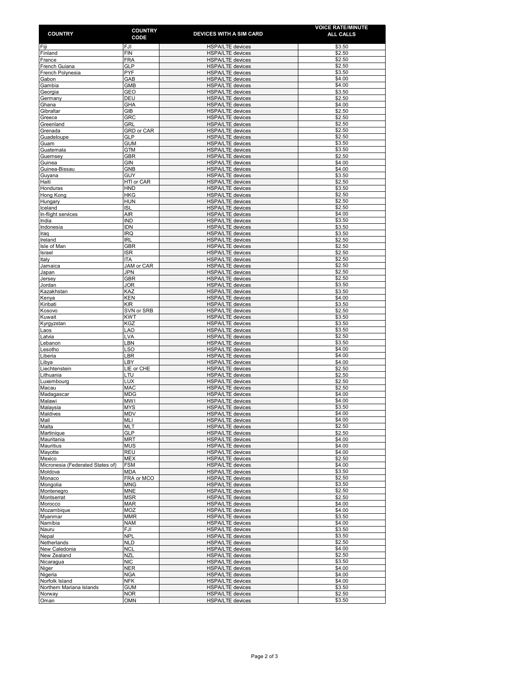| <b>COUNTRY</b>                             | <b>COUNTRY</b><br>CODE          | <b>DEVICES WITH A SIM CARD</b>                     | <b>VOICE RATE/MINUTE</b><br>ALL CALLS |
|--------------------------------------------|---------------------------------|----------------------------------------------------|---------------------------------------|
| Fiji                                       | FJI                             | <b>HSPA/LTE</b> devices                            | \$3.50                                |
| Finland                                    | <b>FIN</b>                      | <b>HSPA/LTE</b> devices                            | \$2.50                                |
| France                                     | <b>FRA</b>                      | <b>HSPA/LTE</b> devices                            | \$2.50                                |
| French Guiana<br>French Polynesia          | <b>GLP</b><br>PYF               | <b>HSPA/LTE</b> devices<br><b>HSPA/LTE</b> devices | \$2.50<br>\$3.50                      |
| Gabon                                      | GAB                             | <b>HSPA/LTE</b> devices                            | \$4.00                                |
| Gambia                                     | GMB                             | <b>HSPA/LTE</b> devices                            | \$4.00                                |
| Georgia                                    | GEO                             | <b>HSPA/LTE devices</b>                            | \$3.50                                |
| Germany<br>Ghana                           | DEU<br>GHA                      | <b>HSPA/LTE</b> devices<br><b>HSPA/LTE devices</b> | \$2.50<br>\$4.00                      |
| Gibraltar                                  | GIB                             | <b>HSPA/LTE</b> devices                            | \$2.50                                |
| Greece                                     | <b>GRC</b>                      | <b>HSPA/LTE</b> devices                            | \$2.50                                |
| Greenland<br>Grenada                       | <b>GRL</b><br><b>GRD or CAR</b> | <b>HSPA/LTE</b> devices<br><b>HSPA/LTE devices</b> | \$2.50<br>\$2.50                      |
| Guadeloupe                                 | <b>GLP</b>                      | HSPA/LTE devices                                   | \$2.50                                |
| Guam                                       | <b>GUM</b>                      | <b>HSPA/LTE devices</b>                            | \$3.50                                |
| Guatemala                                  | <b>GTM</b>                      | <b>HSPA/LTE</b> devices                            | \$3.50                                |
| Guernsey<br>Guinea                         | <b>GBR</b><br>GIN               | <b>HSPA/LTE</b> devices<br><b>HSPA/LTE</b> devices | \$2.50<br>\$4.00                      |
| Guinea-Bissau                              | <b>GNB</b>                      | <b>HSPA/LTE</b> devices                            | \$4.00                                |
| Guyana                                     | GUY                             | <b>HSPA/LTE</b> devices                            | \$3.50                                |
| Haiti                                      | HTI or CAR                      | <b>HSPA/LTE</b> devices                            | \$2.50                                |
| Honduras<br>Hong Kong                      | HND<br>HKG                      | <b>HSPA/LTE</b> devices<br><b>HSPA/LTE</b> devices | \$3.50<br>\$2.50                      |
| Hungary                                    | HUN                             | <b>HSPA/LTE devices</b>                            | \$2.50                                |
| Iceland                                    | ISL                             | <b>HSPA/LTE</b> devices                            | \$2.50                                |
| In-flight services                         | AIR                             | <b>HSPA/LTE</b> devices                            | \$4.00                                |
| India                                      | IND<br><b>IDN</b>               | <b>HSPA/LTE</b> devices                            | \$3.50<br>\$3.50                      |
| Indonesia<br>Iraq                          | <b>IRQ</b>                      | <b>HSPA/LTE devices</b><br><b>HSPA/LTE</b> devices | \$3.50                                |
| Ireland                                    | <b>IRL</b>                      | <b>HSPA/LTE</b> devices                            | \$2.50                                |
| Isle of Man                                | GBR                             | <b>HSPA/LTE</b> devices                            | \$2.50                                |
| Israel                                     | <b>ISR</b><br><b>ITA</b>        | <b>HSPA/LTE</b> devices                            | \$2.50<br>\$2.50                      |
| Italy<br>Jamaica                           | JAM or CAR                      | <b>HSPA/LTE devices</b><br><b>HSPA/LTE</b> devices | \$2.50                                |
| Japan                                      | JPN                             | <b>HSPA/LTE devices</b>                            | \$2.50                                |
| Jersey                                     | <b>GBR</b>                      | <b>HSPA/LTE</b> devices                            | \$2.50                                |
| Jordan                                     | JOR                             | <b>HSPA/LTE devices</b>                            | \$3.50<br>\$3.50                      |
| Kazakhstan<br>Kenya                        | KAZ<br><b>KEN</b>               | <b>HSPA/LTE devices</b><br><b>HSPA/LTE</b> devices | \$4.00                                |
| Kiribati                                   | <b>KIR</b>                      | <b>HSPA/LTE devices</b>                            | \$3.50                                |
| Kosovo                                     | SVN or SRB                      | <b>HSPA/LTE</b> devices                            | \$2.50                                |
| Kuwait                                     | <b>KWT</b>                      | <b>HSPA/LTE devices</b>                            | \$3.50                                |
| Kyrgyzstan<br>Laos                         | KGZ<br><b>LAO</b>               | <b>HSPA/LTE devices</b><br><b>HSPA/LTE devices</b> | \$3.50<br>\$3.50                      |
| Latvia                                     | LVA                             | <b>HSPA/LTE</b> devices                            | \$2.50                                |
| Lebanon                                    | LBN                             | <b>HSPA/LTE devices</b>                            | \$3.50                                |
| Lesotho                                    | <b>LSO</b><br>LBR               | <b>HSPA/LTE devices</b>                            | \$4.00<br>\$4.00                      |
| Liberia<br>Libya                           | LBY                             | <b>HSPA/LTE</b> devices<br><b>HSPA/LTE</b> devices | \$4.00                                |
| Liechtenstein                              | LIE or CHE                      | <b>HSPA/LTE</b> devices                            | \$2.50                                |
| Lithuania                                  | LTU                             | <b>HSPA/LTE</b> devices                            | \$2.50                                |
| Luxembourg<br>Macau                        | LUX<br>MAC                      | <b>HSPA/LTE</b> devices<br><b>HSPA/LTE</b> devices | \$2.50<br>\$2.50                      |
| Madagascar                                 | <b>MDG</b>                      | <b>HSPA/LTE</b> devices                            | \$4.00                                |
| Malawi                                     | <b>MWI</b>                      | <b>HSPA/LTE</b> devices                            | \$4.00                                |
| Malaysia                                   | <b>MYS</b>                      | <b>HSPA/LTE devices</b>                            | \$3.50                                |
| Maldives<br>Mali                           | MDV<br>MLI                      | <b>HSPA/LTE devices</b><br>HSPA/LTE devices        | \$4.00<br>\$4.00                      |
| Malta                                      | <b>MLT</b>                      | <b>HSPA/LTE devices</b>                            | \$2.50                                |
| Martinique                                 | <b>GLP</b>                      | HSPA/LTE devices                                   | \$2.50                                |
| Mauritania                                 | <b>MRT</b>                      | HSPA/LTE devices                                   | \$4.00                                |
| <b>Mauritius</b><br>Mayotte                | <b>MUS</b><br><b>REU</b>        | HSPA/LTE devices<br>HSPA/LTE devices               | \$4.00<br>\$4.00                      |
| Mexico                                     | <b>MEX</b>                      | <b>HSPA/LTE</b> devices                            | \$2.50                                |
| Micronesia (Federated States of)           | <b>FSM</b>                      | <b>HSPA/LTE</b> devices                            | \$4.00                                |
| Moldova                                    | <b>MDA</b>                      | <b>HSPA/LTE</b> devices                            | \$3.50                                |
| Monaco<br>Mongolia                         | FRA or MCO<br><b>MNG</b>        | <b>HSPA/LTE devices</b><br><b>HSPA/LTE</b> devices | \$2.50<br>\$3.50                      |
| Montenegro                                 | <b>MNE</b>                      | <b>HSPA/LTE</b> devices                            | \$2.50                                |
| Montserrat                                 | <b>MSR</b>                      | <b>HSPA/LTE devices</b>                            | \$2.50                                |
| Morocco                                    | <b>MAR</b>                      | <b>HSPA/LTE</b> devices                            | \$4.00                                |
| Mozambique<br>Myanmar                      | MOZ<br><b>MMR</b>               | <b>HSPA/LTE devices</b><br>HSPA/LTE devices        | \$4.00<br>\$3.50                      |
| Namibia                                    | <b>NAM</b>                      | <b>HSPA/LTE</b> devices                            | \$4.00                                |
| Nauru                                      | FJI                             | <b>HSPA/LTE</b> devices                            | \$3.50                                |
| Nepal                                      | <b>NPL</b>                      | <b>HSPA/LTE devices</b>                            | \$3.50                                |
| Netherlands<br>New Caledonia               | <b>NLD</b><br><b>NCL</b>        | <b>HSPA/LTE</b> devices<br><b>HSPA/LTE</b> devices | \$2.50<br>\$4.00                      |
| New Zealand                                | <b>NZL</b>                      | <b>HSPA/LTE</b> devices                            | \$2.50                                |
| Nicaragua                                  | <b>NIC</b>                      | <b>HSPA/LTE</b> devices                            | \$3.50                                |
| Niger                                      | <b>NER</b>                      | <b>HSPA/LTE</b> devices                            | \$4.00                                |
| Nigeria                                    | <b>NGA</b><br><b>NFK</b>        | <b>HSPA/LTE</b> devices                            | \$4.00<br>\$4.00                      |
| Norfolk Island<br>Northern Mariana Islands | <b>GUM</b>                      | <b>HSPA/LTE</b> devices<br><b>HSPA/LTE</b> devices | \$3.50                                |
| Norway                                     | <b>NOR</b>                      | <b>HSPA/LTE</b> devices                            | \$2.50                                |
| Oman                                       | OMN                             | <b>HSPA/LTE devices</b>                            | \$3.50                                |